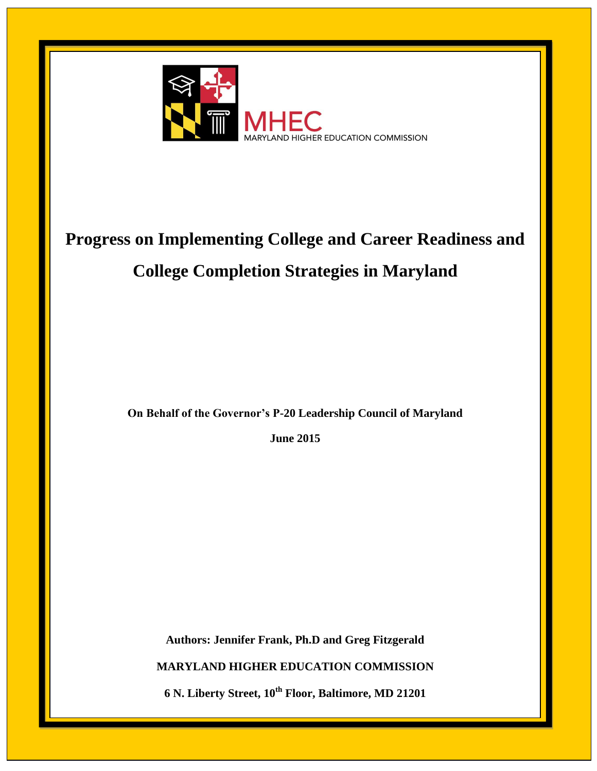

# **Progress on Implementing College and Career Readiness and College Completion Strategies in Maryland**

**On Behalf of the Governor's P-20 Leadership Council of Maryland**

**June 2015**

**Authors: Jennifer Frank, Ph.D and Greg Fitzgerald MARYLAND HIGHER EDUCATION COMMISSION 6 N. Liberty Street, 10th Floor, Baltimore, MD 21201**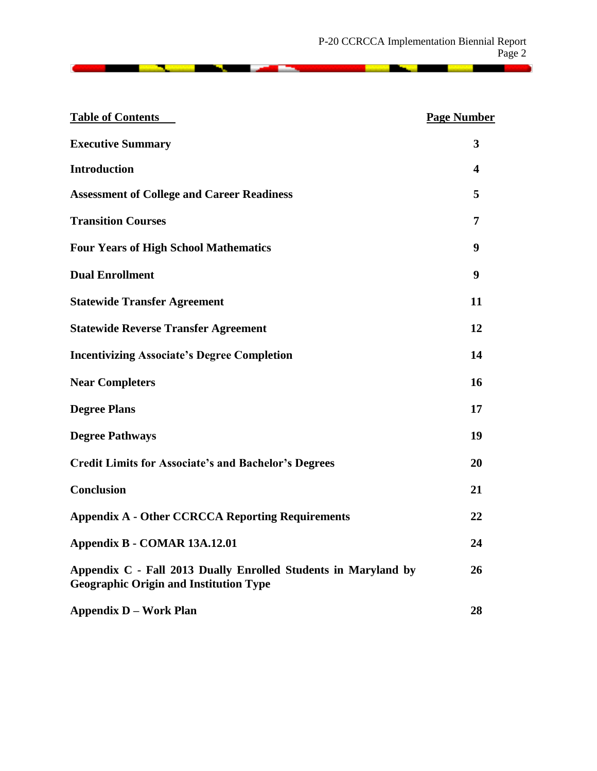**CONTRACTOR** PRODUCTS

| <b>Table of Contents</b>                                                                                        | <b>Page Number</b> |
|-----------------------------------------------------------------------------------------------------------------|--------------------|
| <b>Executive Summary</b>                                                                                        | 3                  |
| <b>Introduction</b>                                                                                             | 4                  |
| <b>Assessment of College and Career Readiness</b>                                                               | 5                  |
| <b>Transition Courses</b>                                                                                       | 7                  |
| <b>Four Years of High School Mathematics</b>                                                                    | 9                  |
| <b>Dual Enrollment</b>                                                                                          | 9                  |
| <b>Statewide Transfer Agreement</b>                                                                             | 11                 |
| <b>Statewide Reverse Transfer Agreement</b>                                                                     | 12                 |
| <b>Incentivizing Associate's Degree Completion</b>                                                              | 14                 |
| <b>Near Completers</b>                                                                                          | 16                 |
| <b>Degree Plans</b>                                                                                             | 17                 |
| <b>Degree Pathways</b>                                                                                          | 19                 |
| <b>Credit Limits for Associate's and Bachelor's Degrees</b>                                                     | 20                 |
| <b>Conclusion</b>                                                                                               | 21                 |
| <b>Appendix A - Other CCRCCA Reporting Requirements</b>                                                         | 22                 |
| Appendix B - COMAR 13A.12.01                                                                                    | 24                 |
| Appendix C - Fall 2013 Dually Enrolled Students in Maryland by<br><b>Geographic Origin and Institution Type</b> | 26                 |
| <b>Appendix D - Work Plan</b>                                                                                   | 28                 |

<u> 1988 - Andrea Brand, Amerikaansk filozof (</u>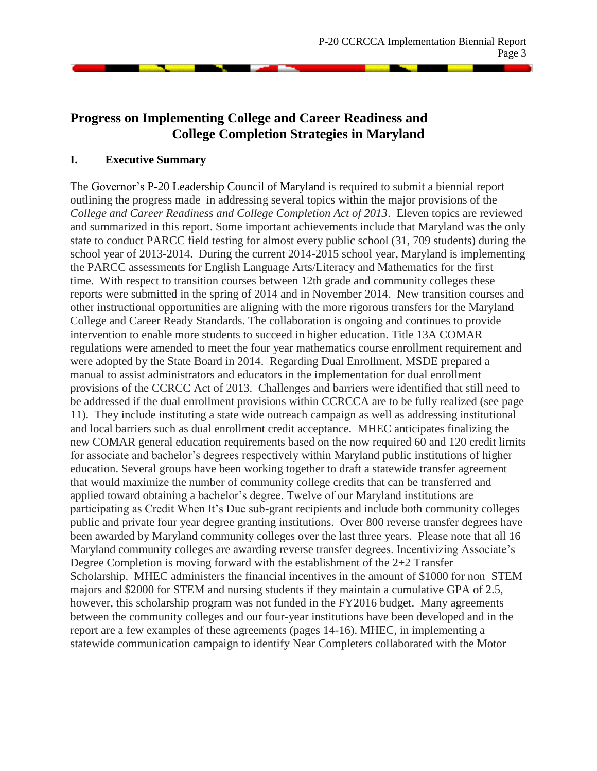# **Progress on Implementing College and Career Readiness and College Completion Strategies in Maryland**

#### **I. Executive Summary**

The Governor's P-20 Leadership Council of Maryland is required to submit a biennial report outlining the progress made in addressing several topics within the major provisions of the *College and Career Readiness and College Completion Act of 2013*. Eleven topics are reviewed and summarized in this report. Some important achievements include that Maryland was the only state to conduct PARCC field testing for almost every public school (31, 709 students) during the school year of 2013-2014. During the current 2014-2015 school year, Maryland is implementing the PARCC assessments for English Language Arts/Literacy and Mathematics for the first time. With respect to transition courses between 12th grade and community colleges these reports were submitted in the spring of 2014 and in November 2014. New transition courses and other instructional opportunities are aligning with the more rigorous transfers for the Maryland College and Career Ready Standards. The collaboration is ongoing and continues to provide intervention to enable more students to succeed in higher education. Title 13A COMAR regulations were amended to meet the four year mathematics course enrollment requirement and were adopted by the State Board in 2014. Regarding Dual Enrollment, MSDE prepared a manual to assist administrators and educators in the implementation for dual enrollment provisions of the CCRCC Act of 2013. Challenges and barriers were identified that still need to be addressed if the dual enrollment provisions within CCRCCA are to be fully realized (see page 11). They include instituting a state wide outreach campaign as well as addressing institutional and local barriers such as dual enrollment credit acceptance. MHEC anticipates finalizing the new COMAR general education requirements based on the now required 60 and 120 credit limits for associate and bachelor's degrees respectively within Maryland public institutions of higher education. Several groups have been working together to draft a statewide transfer agreement that would maximize the number of community college credits that can be transferred and applied toward obtaining a bachelor's degree. Twelve of our Maryland institutions are participating as Credit When It's Due sub-grant recipients and include both community colleges public and private four year degree granting institutions. Over 800 reverse transfer degrees have been awarded by Maryland community colleges over the last three years. Please note that all 16 Maryland community colleges are awarding reverse transfer degrees. Incentivizing Associate's Degree Completion is moving forward with the establishment of the 2+2 Transfer Scholarship. MHEC administers the financial incentives in the amount of \$1000 for non–STEM majors and \$2000 for STEM and nursing students if they maintain a cumulative GPA of 2.5, however, this scholarship program was not funded in the FY2016 budget. Many agreements between the community colleges and our four-year institutions have been developed and in the report are a few examples of these agreements (pages 14-16). MHEC, in implementing a statewide communication campaign to identify Near Completers collaborated with the Motor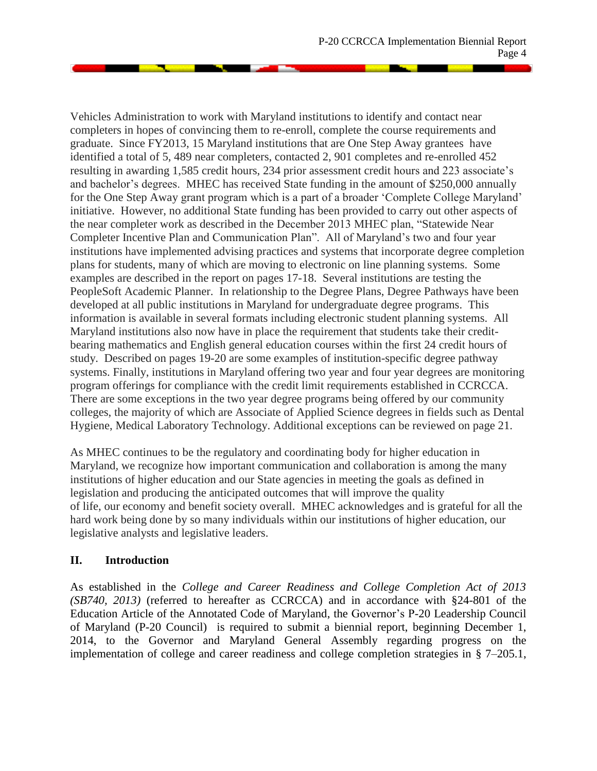Vehicles Administration to work with Maryland institutions to identify and contact near completers in hopes of convincing them to re-enroll, complete the course requirements and graduate. Since FY2013, 15 Maryland institutions that are One Step Away grantees have identified a total of 5, 489 near completers, contacted 2, 901 completes and re-enrolled 452 resulting in awarding 1,585 credit hours, 234 prior assessment credit hours and 223 associate's and bachelor's degrees. MHEC has received State funding in the amount of \$250,000 annually for the One Step Away grant program which is a part of a broader 'Complete College Maryland' initiative. However, no additional State funding has been provided to carry out other aspects of the near completer work as described in the December 2013 MHEC plan, "Statewide Near Completer Incentive Plan and Communication Plan". All of Maryland's two and four year institutions have implemented advising practices and systems that incorporate degree completion plans for students, many of which are moving to electronic on line planning systems. Some examples are described in the report on pages 17-18. Several institutions are testing the PeopleSoft Academic Planner. In relationship to the Degree Plans, Degree Pathways have been developed at all public institutions in Maryland for undergraduate degree programs. This information is available in several formats including electronic student planning systems. All Maryland institutions also now have in place the requirement that students take their creditbearing mathematics and English general education courses within the first 24 credit hours of study. Described on pages 19-20 are some examples of institution-specific degree pathway systems. Finally, institutions in Maryland offering two year and four year degrees are monitoring program offerings for compliance with the credit limit requirements established in CCRCCA. There are some exceptions in the two year degree programs being offered by our community colleges, the majority of which are Associate of Applied Science degrees in fields such as Dental Hygiene, Medical Laboratory Technology. Additional exceptions can be reviewed on page 21.

As MHEC continues to be the regulatory and coordinating body for higher education in Maryland, we recognize how important communication and collaboration is among the many institutions of higher education and our State agencies in meeting the goals as defined in legislation and producing the anticipated outcomes that will improve the quality of life, our economy and benefit society overall. MHEC acknowledges and is grateful for all the hard work being done by so many individuals within our institutions of higher education, our legislative analysts and legislative leaders.

# **II. Introduction**

As established in the *College and Career Readiness and College Completion Act of 2013 (SB740, 2013)* (referred to hereafter as CCRCCA) and in accordance with §24-801 of the Education Article of the Annotated Code of Maryland, the Governor's P-20 Leadership Council of Maryland (P-20 Council) is required to submit a biennial report, beginning December 1, 2014, to the Governor and Maryland General Assembly regarding progress on the implementation of college and career readiness and college completion strategies in § 7–205.1,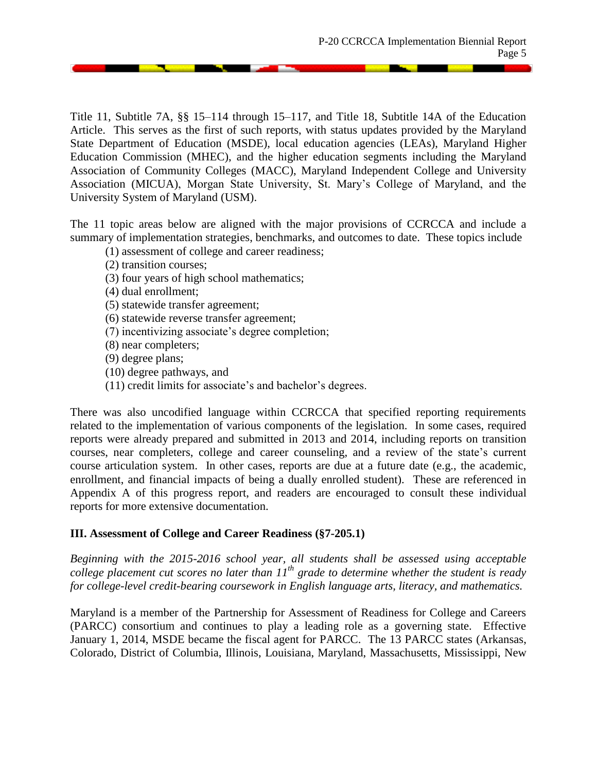Title 11, Subtitle 7A, §§ 15–114 through 15–117, and Title 18, Subtitle 14A of the Education Article. This serves as the first of such reports, with status updates provided by the Maryland State Department of Education (MSDE), local education agencies (LEAs), Maryland Higher Education Commission (MHEC), and the higher education segments including the Maryland Association of Community Colleges (MACC), Maryland Independent College and University Association (MICUA), Morgan State University, St. Mary's College of Maryland, and the University System of Maryland (USM).

The 11 topic areas below are aligned with the major provisions of CCRCCA and include a summary of implementation strategies, benchmarks, and outcomes to date. These topics include

- (1) assessment of college and career readiness;
- (2) transition courses;
- (3) four years of high school mathematics;
- (4) dual enrollment;
- (5) statewide transfer agreement;
- (6) statewide reverse transfer agreement;
- (7) incentivizing associate's degree completion;
- (8) near completers;
- (9) degree plans;
- (10) degree pathways, and
- (11) credit limits for associate's and bachelor's degrees.

There was also uncodified language within CCRCCA that specified reporting requirements related to the implementation of various components of the legislation. In some cases, required reports were already prepared and submitted in 2013 and 2014, including reports on transition courses, near completers, college and career counseling, and a review of the state's current course articulation system. In other cases, reports are due at a future date (e.g., the academic, enrollment, and financial impacts of being a dually enrolled student). These are referenced in Appendix A of this progress report, and readers are encouraged to consult these individual reports for more extensive documentation.

## **III. Assessment of College and Career Readiness (§7-205.1)**

*Beginning with the 2015-2016 school year, all students shall be assessed using acceptable college placement cut scores no later than 11th grade to determine whether the student is ready for college-level credit-bearing coursework in English language arts, literacy, and mathematics.*

Maryland is a member of the Partnership for Assessment of Readiness for College and Careers (PARCC) consortium and continues to play a leading role as a governing state. Effective January 1, 2014, MSDE became the fiscal agent for PARCC. The 13 PARCC states (Arkansas, Colorado, District of Columbia, Illinois, Louisiana, Maryland, Massachusetts, Mississippi, New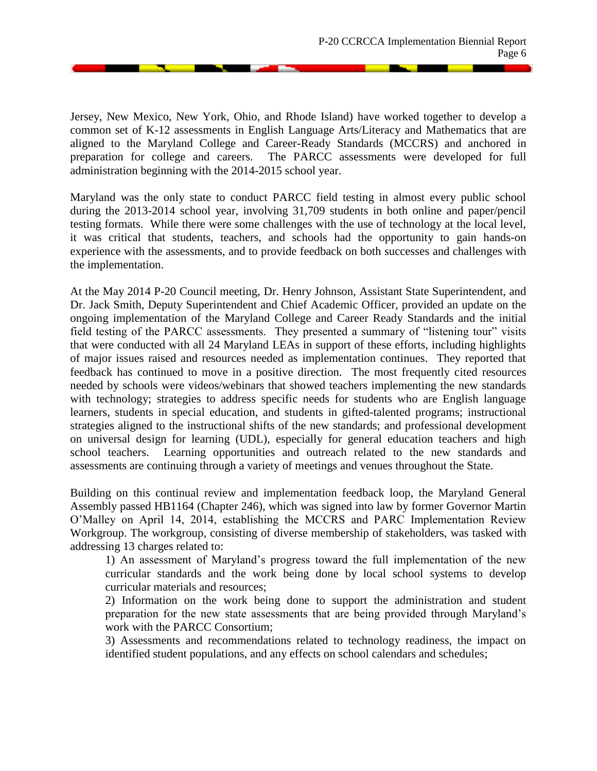Jersey, New Mexico, New York, Ohio, and Rhode Island) have worked together to develop a common set of K-12 assessments in English Language Arts/Literacy and Mathematics that are aligned to the Maryland College and Career-Ready Standards (MCCRS) and anchored in preparation for college and careers. The PARCC assessments were developed for full administration beginning with the 2014-2015 school year.

Maryland was the only state to conduct PARCC field testing in almost every public school during the 2013-2014 school year, involving 31,709 students in both online and paper/pencil testing formats. While there were some challenges with the use of technology at the local level, it was critical that students, teachers, and schools had the opportunity to gain hands-on experience with the assessments, and to provide feedback on both successes and challenges with the implementation.

At the May 2014 P-20 Council meeting, Dr. Henry Johnson, Assistant State Superintendent, and Dr. Jack Smith, Deputy Superintendent and Chief Academic Officer, provided an update on the ongoing implementation of the Maryland College and Career Ready Standards and the initial field testing of the PARCC assessments. They presented a summary of "listening tour" visits that were conducted with all 24 Maryland LEAs in support of these efforts, including highlights of major issues raised and resources needed as implementation continues. They reported that feedback has continued to move in a positive direction. The most frequently cited resources needed by schools were videos/webinars that showed teachers implementing the new standards with technology; strategies to address specific needs for students who are English language learners, students in special education, and students in gifted-talented programs; instructional strategies aligned to the instructional shifts of the new standards; and professional development on universal design for learning (UDL), especially for general education teachers and high school teachers. Learning opportunities and outreach related to the new standards and assessments are continuing through a variety of meetings and venues throughout the State.

Building on this continual review and implementation feedback loop, the Maryland General Assembly passed HB1164 (Chapter 246), which was signed into law by former Governor Martin O'Malley on April 14, 2014, establishing the MCCRS and PARC Implementation Review Workgroup. The workgroup, consisting of diverse membership of stakeholders, was tasked with addressing 13 charges related to:

1) An assessment of Maryland's progress toward the full implementation of the new curricular standards and the work being done by local school systems to develop curricular materials and resources;

2) Information on the work being done to support the administration and student preparation for the new state assessments that are being provided through Maryland's work with the PARCC Consortium;

3) Assessments and recommendations related to technology readiness, the impact on identified student populations, and any effects on school calendars and schedules;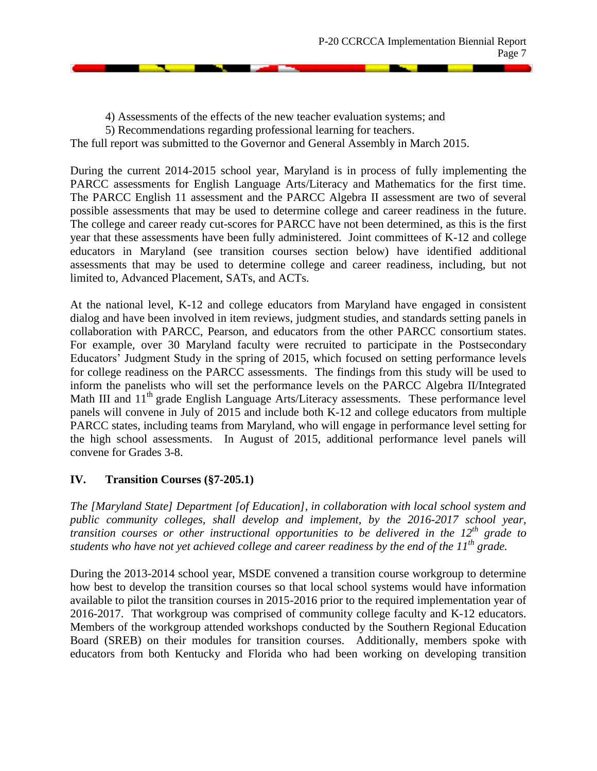4) Assessments of the effects of the new teacher evaluation systems; and

5) Recommendations regarding professional learning for teachers.

The full report was submitted to the Governor and General Assembly in March 2015.

During the current 2014-2015 school year, Maryland is in process of fully implementing the PARCC assessments for English Language Arts/Literacy and Mathematics for the first time. The PARCC English 11 assessment and the PARCC Algebra II assessment are two of several possible assessments that may be used to determine college and career readiness in the future. The college and career ready cut-scores for PARCC have not been determined, as this is the first year that these assessments have been fully administered. Joint committees of K-12 and college educators in Maryland (see transition courses section below) have identified additional assessments that may be used to determine college and career readiness, including, but not limited to, Advanced Placement, SATs, and ACTs.

At the national level, K-12 and college educators from Maryland have engaged in consistent dialog and have been involved in item reviews, judgment studies, and standards setting panels in collaboration with PARCC, Pearson, and educators from the other PARCC consortium states. For example, over 30 Maryland faculty were recruited to participate in the Postsecondary Educators' Judgment Study in the spring of 2015, which focused on setting performance levels for college readiness on the PARCC assessments. The findings from this study will be used to inform the panelists who will set the performance levels on the PARCC Algebra II/Integrated Math III and 11<sup>th</sup> grade English Language Arts/Literacy assessments. These performance level panels will convene in July of 2015 and include both K-12 and college educators from multiple PARCC states, including teams from Maryland, who will engage in performance level setting for the high school assessments. In August of 2015, additional performance level panels will convene for Grades 3-8.

# **IV. Transition Courses (§7-205.1)**

*The [Maryland State] Department [of Education], in collaboration with local school system and public community colleges, shall develop and implement, by the 2016-2017 school year, transition courses or other instructional opportunities to be delivered in the 12th grade to students who have not yet achieved college and career readiness by the end of the 11th grade.*

During the 2013-2014 school year, MSDE convened a transition course workgroup to determine how best to develop the transition courses so that local school systems would have information available to pilot the transition courses in 2015-2016 prior to the required implementation year of 2016-2017. That workgroup was comprised of community college faculty and K-12 educators. Members of the workgroup attended workshops conducted by the Southern Regional Education Board (SREB) on their modules for transition courses. Additionally, members spoke with educators from both Kentucky and Florida who had been working on developing transition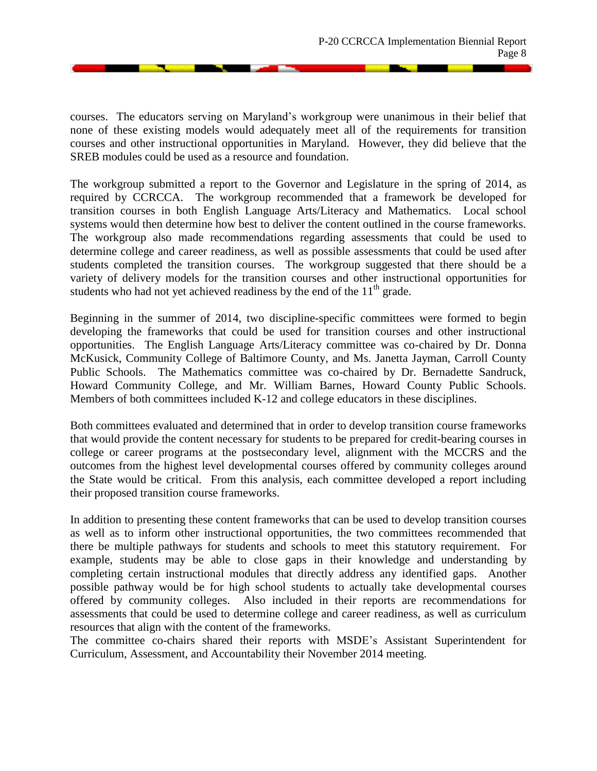courses. The educators serving on Maryland's workgroup were unanimous in their belief that none of these existing models would adequately meet all of the requirements for transition courses and other instructional opportunities in Maryland. However, they did believe that the SREB modules could be used as a resource and foundation.

The workgroup submitted a report to the Governor and Legislature in the spring of 2014, as required by CCRCCA. The workgroup recommended that a framework be developed for transition courses in both English Language Arts/Literacy and Mathematics. Local school systems would then determine how best to deliver the content outlined in the course frameworks. The workgroup also made recommendations regarding assessments that could be used to determine college and career readiness, as well as possible assessments that could be used after students completed the transition courses. The workgroup suggested that there should be a variety of delivery models for the transition courses and other instructional opportunities for students who had not yet achieved readiness by the end of the  $11<sup>th</sup>$  grade.

Beginning in the summer of 2014, two discipline-specific committees were formed to begin developing the frameworks that could be used for transition courses and other instructional opportunities. The English Language Arts/Literacy committee was co-chaired by Dr. Donna McKusick, Community College of Baltimore County, and Ms. Janetta Jayman, Carroll County Public Schools. The Mathematics committee was co-chaired by Dr. Bernadette Sandruck, Howard Community College, and Mr. William Barnes, Howard County Public Schools. Members of both committees included K-12 and college educators in these disciplines.

Both committees evaluated and determined that in order to develop transition course frameworks that would provide the content necessary for students to be prepared for credit-bearing courses in college or career programs at the postsecondary level, alignment with the MCCRS and the outcomes from the highest level developmental courses offered by community colleges around the State would be critical. From this analysis, each committee developed a report including their proposed transition course frameworks.

In addition to presenting these content frameworks that can be used to develop transition courses as well as to inform other instructional opportunities, the two committees recommended that there be multiple pathways for students and schools to meet this statutory requirement. For example, students may be able to close gaps in their knowledge and understanding by completing certain instructional modules that directly address any identified gaps. Another possible pathway would be for high school students to actually take developmental courses offered by community colleges. Also included in their reports are recommendations for assessments that could be used to determine college and career readiness, as well as curriculum resources that align with the content of the frameworks.

The committee co-chairs shared their reports with MSDE's Assistant Superintendent for Curriculum, Assessment, and Accountability their November 2014 meeting.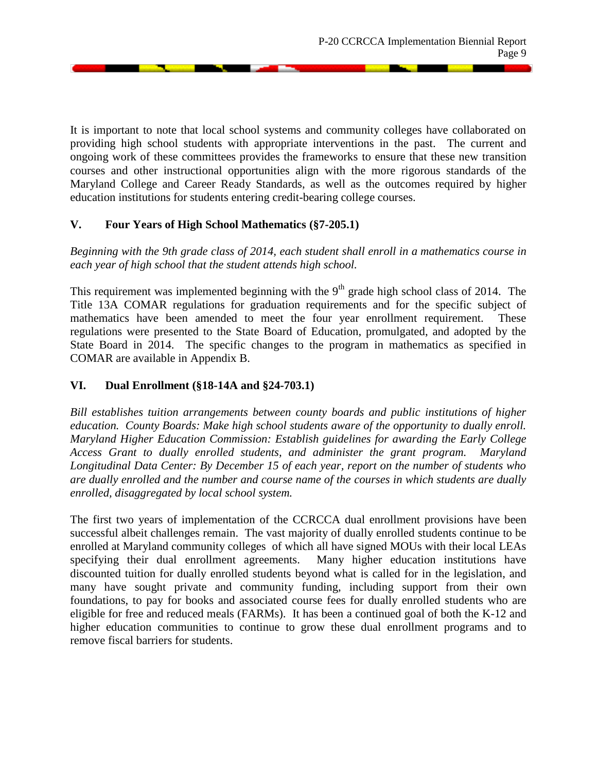It is important to note that local school systems and community colleges have collaborated on providing high school students with appropriate interventions in the past. The current and ongoing work of these committees provides the frameworks to ensure that these new transition courses and other instructional opportunities align with the more rigorous standards of the Maryland College and Career Ready Standards, as well as the outcomes required by higher education institutions for students entering credit-bearing college courses.

# **V. Four Years of High School Mathematics (§7-205.1)**

*Beginning with the 9th grade class of 2014, each student shall enroll in a mathematics course in each year of high school that the student attends high school.*

This requirement was implemented beginning with the  $9<sup>th</sup>$  grade high school class of 2014. The Title 13A COMAR regulations for graduation requirements and for the specific subject of mathematics have been amended to meet the four year enrollment requirement. These regulations were presented to the State Board of Education, promulgated, and adopted by the State Board in 2014. The specific changes to the program in mathematics as specified in COMAR are available in Appendix B.

## **VI. Dual Enrollment (§18-14A and §24-703.1)**

*Bill establishes tuition arrangements between county boards and public institutions of higher education. County Boards: Make high school students aware of the opportunity to dually enroll. Maryland Higher Education Commission: Establish guidelines for awarding the Early College Access Grant to dually enrolled students, and administer the grant program. Maryland Longitudinal Data Center: By December 15 of each year, report on the number of students who are dually enrolled and the number and course name of the courses in which students are dually enrolled, disaggregated by local school system.*

The first two years of implementation of the CCRCCA dual enrollment provisions have been successful albeit challenges remain. The vast majority of dually enrolled students continue to be enrolled at Maryland community colleges of which all have signed MOUs with their local LEAs specifying their dual enrollment agreements. Many higher education institutions have discounted tuition for dually enrolled students beyond what is called for in the legislation, and many have sought private and community funding, including support from their own foundations, to pay for books and associated course fees for dually enrolled students who are eligible for free and reduced meals (FARMs). It has been a continued goal of both the K-12 and higher education communities to continue to grow these dual enrollment programs and to remove fiscal barriers for students.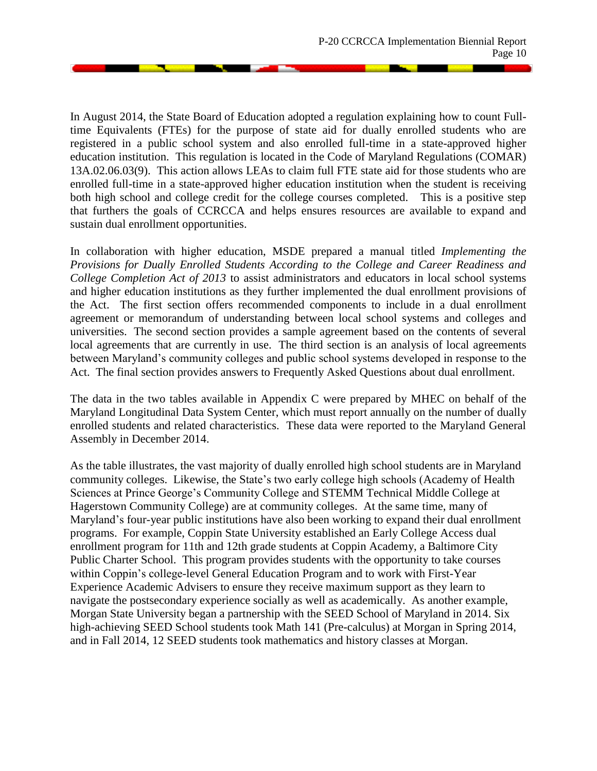**San Angeler** 

In August 2014, the State Board of Education adopted a regulation explaining how to count Fulltime Equivalents (FTEs) for the purpose of state aid for dually enrolled students who are registered in a public school system and also enrolled full-time in a state-approved higher education institution. This regulation is located in the Code of Maryland Regulations (COMAR) 13A.02.06.03(9). This action allows LEAs to claim full FTE state aid for those students who are enrolled full-time in a state-approved higher education institution when the student is receiving both high school and college credit for the college courses completed. This is a positive step that furthers the goals of CCRCCA and helps ensures resources are available to expand and sustain dual enrollment opportunities.

In collaboration with higher education, MSDE prepared a manual titled *Implementing the Provisions for Dually Enrolled Students According to the College and Career Readiness and College Completion Act of 2013* to assist administrators and educators in local school systems and higher education institutions as they further implemented the dual enrollment provisions of the Act. The first section offers recommended components to include in a dual enrollment agreement or memorandum of understanding between local school systems and colleges and universities. The second section provides a sample agreement based on the contents of several local agreements that are currently in use. The third section is an analysis of local agreements between Maryland's community colleges and public school systems developed in response to the Act. The final section provides answers to Frequently Asked Questions about dual enrollment.

The data in the two tables available in Appendix C were prepared by MHEC on behalf of the Maryland Longitudinal Data System Center, which must report annually on the number of dually enrolled students and related characteristics. These data were reported to the Maryland General Assembly in December 2014.

As the table illustrates, the vast majority of dually enrolled high school students are in Maryland community colleges. Likewise, the State's two early college high schools (Academy of Health Sciences at Prince George's Community College and STEMM Technical Middle College at Hagerstown Community College) are at community colleges. At the same time, many of Maryland's four-year public institutions have also been working to expand their dual enrollment programs. For example, Coppin State University established an Early College Access dual enrollment program for 11th and 12th grade students at Coppin Academy, a Baltimore City Public Charter School. This program provides students with the opportunity to take courses within Coppin's college-level General Education Program and to work with First-Year Experience Academic Advisers to ensure they receive maximum support as they learn to navigate the postsecondary experience socially as well as academically. As another example, Morgan State University began a partnership with the SEED School of Maryland in 2014. Six high-achieving SEED School students took Math 141 (Pre-calculus) at Morgan in Spring 2014, and in Fall 2014, 12 SEED students took mathematics and history classes at Morgan.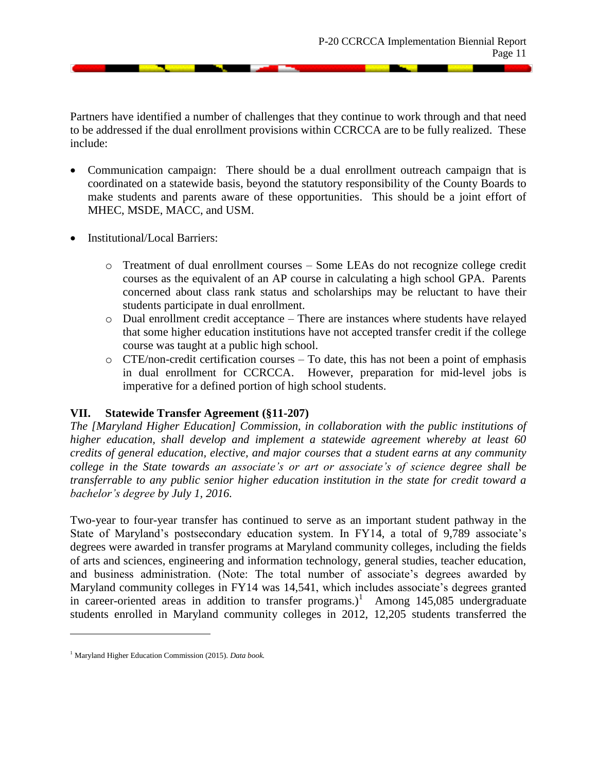Partners have identified a number of challenges that they continue to work through and that need to be addressed if the dual enrollment provisions within CCRCCA are to be fully realized. These include:

- Communication campaign: There should be a dual enrollment outreach campaign that is coordinated on a statewide basis, beyond the statutory responsibility of the County Boards to make students and parents aware of these opportunities. This should be a joint effort of MHEC, MSDE, MACC, and USM.
- Institutional/Local Barriers:
	- o Treatment of dual enrollment courses Some LEAs do not recognize college credit courses as the equivalent of an AP course in calculating a high school GPA. Parents concerned about class rank status and scholarships may be reluctant to have their students participate in dual enrollment.
	- o Dual enrollment credit acceptance There are instances where students have relayed that some higher education institutions have not accepted transfer credit if the college course was taught at a public high school.
	- o CTE/non-credit certification courses To date, this has not been a point of emphasis in dual enrollment for CCRCCA. However, preparation for mid-level jobs is imperative for a defined portion of high school students.

#### **VII. Statewide Transfer Agreement (§11-207)**

*The [Maryland Higher Education] Commission, in collaboration with the public institutions of higher education, shall develop and implement a statewide agreement whereby at least 60 credits of general education, elective, and major courses that a student earns at any community college in the State towards an associate's or art or associate's of science degree shall be transferrable to any public senior higher education institution in the state for credit toward a bachelor's degree by July 1, 2016.*

Two-year to four-year transfer has continued to serve as an important student pathway in the State of Maryland's postsecondary education system. In FY14, a total of 9,789 associate's degrees were awarded in transfer programs at Maryland community colleges, including the fields of arts and sciences, engineering and information technology, general studies, teacher education, and business administration. (Note: The total number of associate's degrees awarded by Maryland community colleges in FY14 was 14,541, which includes associate's degrees granted in career-oriented areas in addition to transfer programs.)<sup>1</sup> Among 145,085 undergraduate students enrolled in Maryland community colleges in 2012, 12,205 students transferred the

 $\overline{\phantom{a}}$ 

<sup>1</sup> Maryland Higher Education Commission (2015). *Data book.*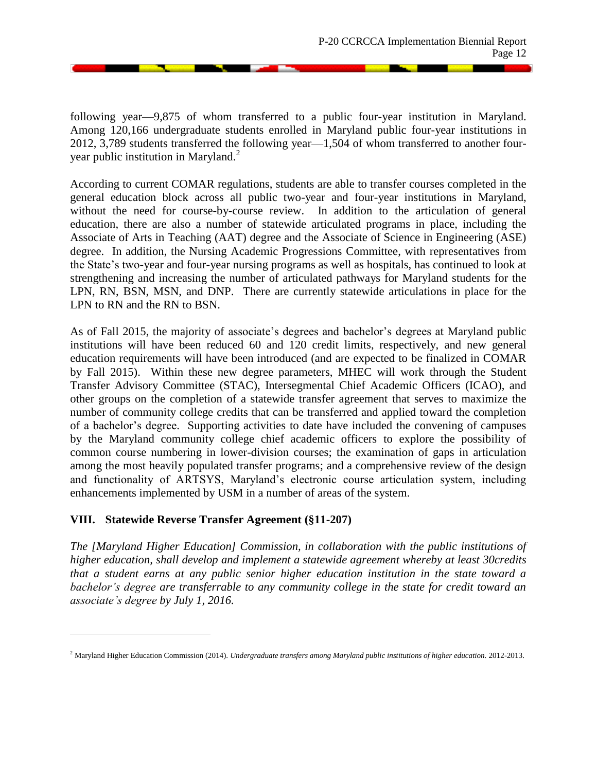following year—9,875 of whom transferred to a public four-year institution in Maryland. Among 120,166 undergraduate students enrolled in Maryland public four-year institutions in 2012, 3,789 students transferred the following year—1,504 of whom transferred to another fouryear public institution in Maryland. $<sup>2</sup>$ </sup>

According to current COMAR regulations, students are able to transfer courses completed in the general education block across all public two-year and four-year institutions in Maryland, without the need for course-by-course review. In addition to the articulation of general education, there are also a number of statewide articulated programs in place, including the Associate of Arts in Teaching (AAT) degree and the Associate of Science in Engineering (ASE) degree. In addition, the Nursing Academic Progressions Committee, with representatives from the State's two-year and four-year nursing programs as well as hospitals, has continued to look at strengthening and increasing the number of articulated pathways for Maryland students for the LPN, RN, BSN, MSN, and DNP. There are currently statewide articulations in place for the LPN to RN and the RN to BSN.

As of Fall 2015, the majority of associate's degrees and bachelor's degrees at Maryland public institutions will have been reduced 60 and 120 credit limits, respectively, and new general education requirements will have been introduced (and are expected to be finalized in COMAR by Fall 2015). Within these new degree parameters, MHEC will work through the Student Transfer Advisory Committee (STAC), Intersegmental Chief Academic Officers (ICAO), and other groups on the completion of a statewide transfer agreement that serves to maximize the number of community college credits that can be transferred and applied toward the completion of a bachelor's degree. Supporting activities to date have included the convening of campuses by the Maryland community college chief academic officers to explore the possibility of common course numbering in lower-division courses; the examination of gaps in articulation among the most heavily populated transfer programs; and a comprehensive review of the design and functionality of ARTSYS, Maryland's electronic course articulation system, including enhancements implemented by USM in a number of areas of the system.

## **VIII. Statewide Reverse Transfer Agreement (§11-207)**

 $\overline{\phantom{a}}$ 

*The [Maryland Higher Education] Commission, in collaboration with the public institutions of higher education, shall develop and implement a statewide agreement whereby at least 30credits that a student earns at any public senior higher education institution in the state toward a bachelor's degree are transferrable to any community college in the state for credit toward an associate's degree by July 1, 2016.*

<sup>2</sup> Maryland Higher Education Commission (2014). *Undergraduate transfers among Maryland public institutions of higher education.* 2012-2013.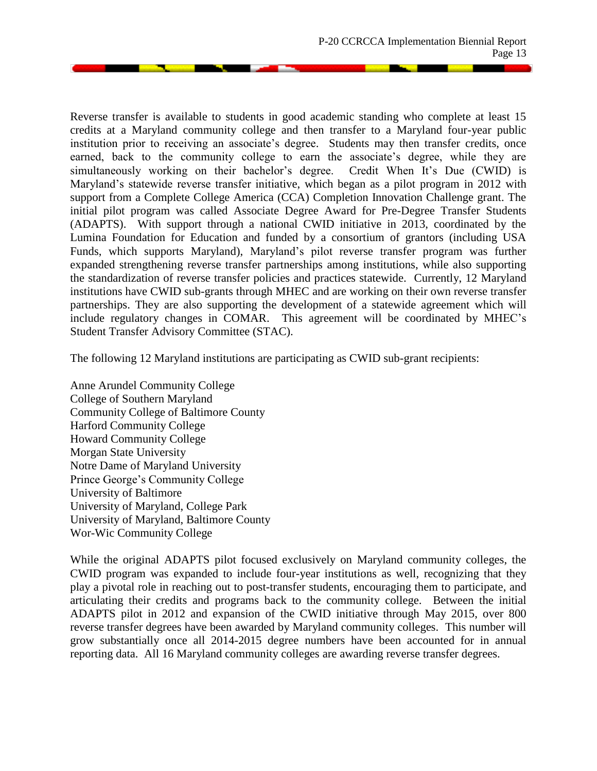**San Adams** 

Reverse transfer is available to students in good academic standing who complete at least 15 credits at a Maryland community college and then transfer to a Maryland four-year public institution prior to receiving an associate's degree. Students may then transfer credits, once earned, back to the community college to earn the associate's degree, while they are simultaneously working on their bachelor's degree. Credit When It's Due (CWID) is Maryland's statewide reverse transfer initiative, which began as a pilot program in 2012 with support from a Complete College America (CCA) Completion Innovation Challenge grant. The initial pilot program was called Associate Degree Award for Pre-Degree Transfer Students (ADAPTS). With support through a national CWID initiative in 2013, coordinated by the Lumina Foundation for Education and funded by a consortium of grantors (including USA Funds, which supports Maryland), Maryland's pilot reverse transfer program was further expanded strengthening reverse transfer partnerships among institutions, while also supporting the standardization of reverse transfer policies and practices statewide. Currently, 12 Maryland institutions have CWID sub-grants through MHEC and are working on their own reverse transfer partnerships. They are also supporting the development of a statewide agreement which will include regulatory changes in COMAR. This agreement will be coordinated by MHEC's Student Transfer Advisory Committee (STAC).

The following 12 Maryland institutions are participating as CWID sub-grant recipients:

Anne Arundel Community College College of Southern Maryland Community College of Baltimore County Harford Community College Howard Community College Morgan State University Notre Dame of Maryland University Prince George's Community College University of Baltimore University of Maryland, College Park University of Maryland, Baltimore County Wor-Wic Community College

While the original ADAPTS pilot focused exclusively on Maryland community colleges, the CWID program was expanded to include four-year institutions as well, recognizing that they play a pivotal role in reaching out to post-transfer students, encouraging them to participate, and articulating their credits and programs back to the community college. Between the initial ADAPTS pilot in 2012 and expansion of the CWID initiative through May 2015, over 800 reverse transfer degrees have been awarded by Maryland community colleges. This number will grow substantially once all 2014-2015 degree numbers have been accounted for in annual reporting data. All 16 Maryland community colleges are awarding reverse transfer degrees.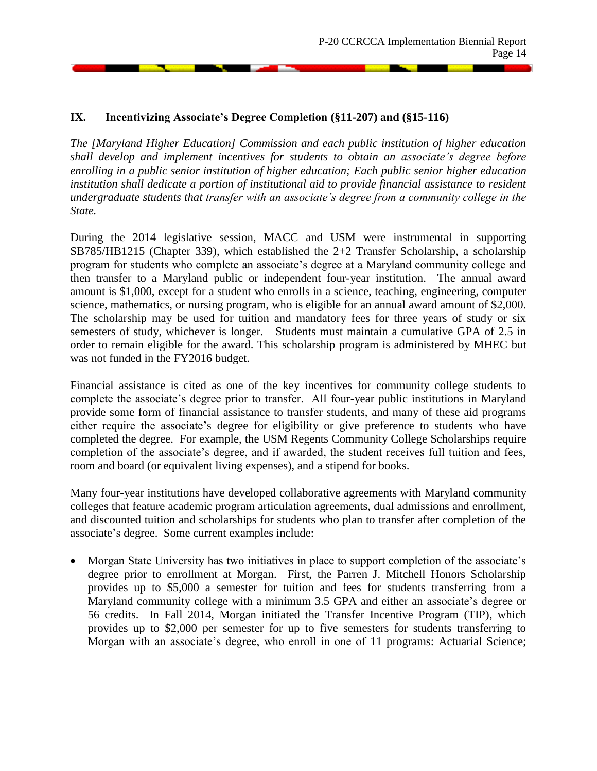#### **IX. Incentivizing Associate's Degree Completion (§11-207) and (§15-116)**

*The [Maryland Higher Education] Commission and each public institution of higher education shall develop and implement incentives for students to obtain an associate's degree before enrolling in a public senior institution of higher education; Each public senior higher education institution shall dedicate a portion of institutional aid to provide financial assistance to resident undergraduate students that transfer with an associate's degree from a community college in the State.*

During the 2014 legislative session, MACC and USM were instrumental in supporting SB785/HB1215 (Chapter 339), which established the 2+2 Transfer Scholarship, a scholarship program for students who complete an associate's degree at a Maryland community college and then transfer to a Maryland public or independent four-year institution. The annual award amount is \$1,000, except for a student who enrolls in a science, teaching, engineering, computer science, mathematics, or nursing program, who is eligible for an annual award amount of \$2,000. The scholarship may be used for tuition and mandatory fees for three years of study or six semesters of study, whichever is longer. Students must maintain a cumulative GPA of 2.5 in order to remain eligible for the award. This scholarship program is administered by MHEC but was not funded in the FY2016 budget.

Financial assistance is cited as one of the key incentives for community college students to complete the associate's degree prior to transfer. All four-year public institutions in Maryland provide some form of financial assistance to transfer students, and many of these aid programs either require the associate's degree for eligibility or give preference to students who have completed the degree. For example, the USM Regents Community College Scholarships require completion of the associate's degree, and if awarded, the student receives full tuition and fees, room and board (or equivalent living expenses), and a stipend for books.

Many four-year institutions have developed collaborative agreements with Maryland community colleges that feature academic program articulation agreements, dual admissions and enrollment, and discounted tuition and scholarships for students who plan to transfer after completion of the associate's degree. Some current examples include:

 Morgan State University has two initiatives in place to support completion of the associate's degree prior to enrollment at Morgan. First, the Parren J. Mitchell Honors Scholarship provides up to \$5,000 a semester for tuition and fees for students transferring from a Maryland community college with a minimum 3.5 GPA and either an associate's degree or 56 credits. In Fall 2014, Morgan initiated the Transfer Incentive Program (TIP), which provides up to \$2,000 per semester for up to five semesters for students transferring to Morgan with an associate's degree, who enroll in one of 11 programs: Actuarial Science;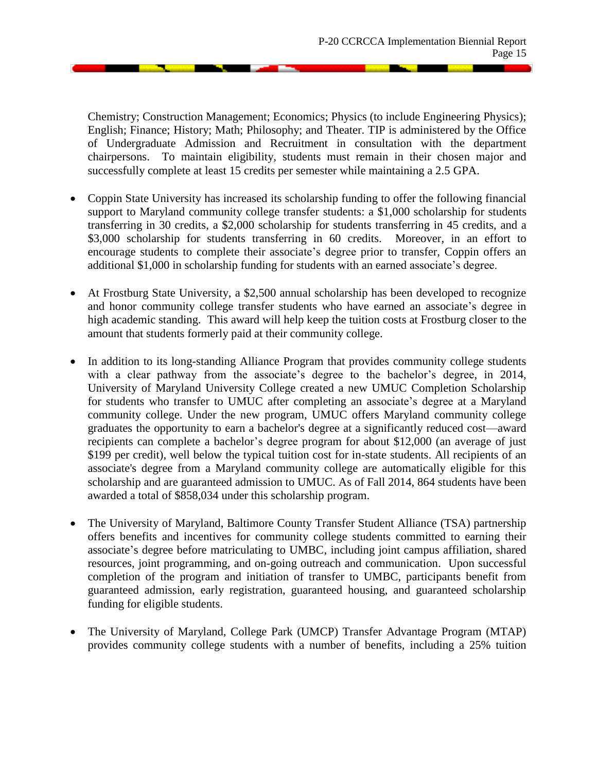Chemistry; Construction Management; Economics; Physics (to include Engineering Physics); English; Finance; History; Math; Philosophy; and Theater. TIP is administered by the Office of Undergraduate Admission and Recruitment in consultation with the department chairpersons. To maintain eligibility, students must remain in their chosen major and successfully complete at least 15 credits per semester while maintaining a 2.5 GPA.

- Coppin State University has increased its scholarship funding to offer the following financial support to Maryland community college transfer students: a \$1,000 scholarship for students transferring in 30 credits, a \$2,000 scholarship for students transferring in 45 credits, and a \$3,000 scholarship for students transferring in 60 credits. Moreover, in an effort to encourage students to complete their associate's degree prior to transfer, Coppin offers an additional \$1,000 in scholarship funding for students with an earned associate's degree.
- At Frostburg State University, a \$2,500 annual scholarship has been developed to recognize and honor community college transfer students who have earned an associate's degree in high academic standing. This award will help keep the tuition costs at Frostburg closer to the amount that students formerly paid at their community college.
- In addition to its long-standing Alliance Program that provides community college students with a clear pathway from the associate's degree to the bachelor's degree, in 2014, University of Maryland University College created a new UMUC Completion Scholarship for students who transfer to UMUC after completing an associate's degree at a Maryland community college. Under the new program, UMUC offers Maryland community college graduates the opportunity to earn a bachelor's degree at a significantly reduced cost—award recipients can complete a bachelor's degree program for about \$12,000 (an average of just \$199 per credit), well below the typical tuition cost for in-state students. All recipients of an associate's degree from a Maryland community college are automatically eligible for this scholarship and are guaranteed admission to UMUC. As of Fall 2014, 864 students have been awarded a total of \$858,034 under this scholarship program.
- The University of Maryland, Baltimore County Transfer Student Alliance (TSA) partnership offers benefits and incentives for community college students committed to earning their associate's degree before matriculating to UMBC, including joint campus affiliation, shared resources, joint programming, and on-going outreach and communication. Upon successful completion of the program and initiation of transfer to UMBC, participants benefit from guaranteed admission, early registration, guaranteed housing, and guaranteed scholarship funding for eligible students.
- The University of Maryland, College Park (UMCP) Transfer Advantage Program (MTAP) provides community college students with a number of benefits, including a 25% tuition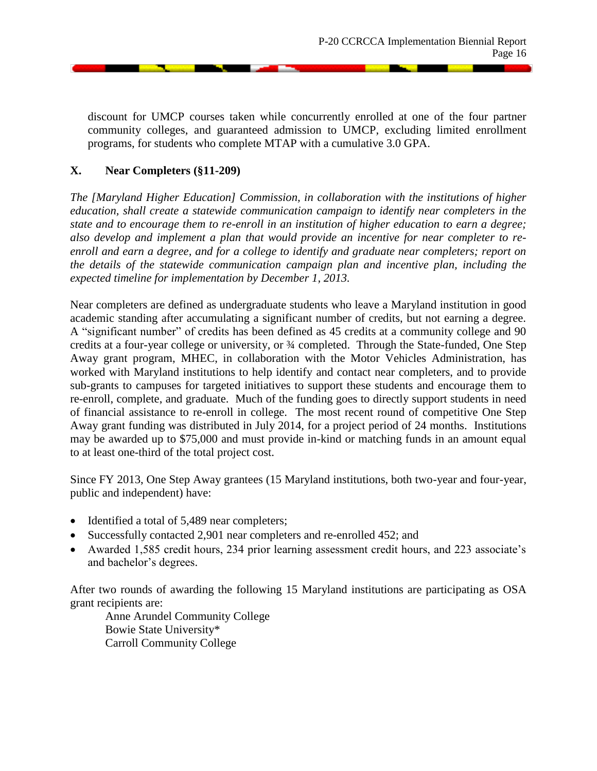discount for UMCP courses taken while concurrently enrolled at one of the four partner community colleges, and guaranteed admission to UMCP, excluding limited enrollment programs, for students who complete MTAP with a cumulative 3.0 GPA.

## **X. Near Completers (§11-209)**

*The [Maryland Higher Education] Commission, in collaboration with the institutions of higher education, shall create a statewide communication campaign to identify near completers in the state and to encourage them to re-enroll in an institution of higher education to earn a degree; also develop and implement a plan that would provide an incentive for near completer to reenroll and earn a degree, and for a college to identify and graduate near completers; report on the details of the statewide communication campaign plan and incentive plan, including the expected timeline for implementation by December 1, 2013.*

Near completers are defined as undergraduate students who leave a Maryland institution in good academic standing after accumulating a significant number of credits, but not earning a degree. A "significant number" of credits has been defined as 45 credits at a community college and 90 credits at a four-year college or university, or ¾ completed. Through the State-funded, One Step Away grant program, MHEC, in collaboration with the Motor Vehicles Administration, has worked with Maryland institutions to help identify and contact near completers, and to provide sub-grants to campuses for targeted initiatives to support these students and encourage them to re-enroll, complete, and graduate. Much of the funding goes to directly support students in need of financial assistance to re-enroll in college. The most recent round of competitive One Step Away grant funding was distributed in July 2014, for a project period of 24 months. Institutions may be awarded up to \$75,000 and must provide in-kind or matching funds in an amount equal to at least one-third of the total project cost.

Since FY 2013, One Step Away grantees (15 Maryland institutions, both two-year and four-year, public and independent) have:

- Identified a total of 5,489 near completers;
- Successfully contacted 2,901 near completers and re-enrolled 452; and
- Awarded 1,585 credit hours, 234 prior learning assessment credit hours, and 223 associate's and bachelor's degrees.

After two rounds of awarding the following 15 Maryland institutions are participating as OSA grant recipients are:

Anne Arundel Community College Bowie State University\* Carroll Community College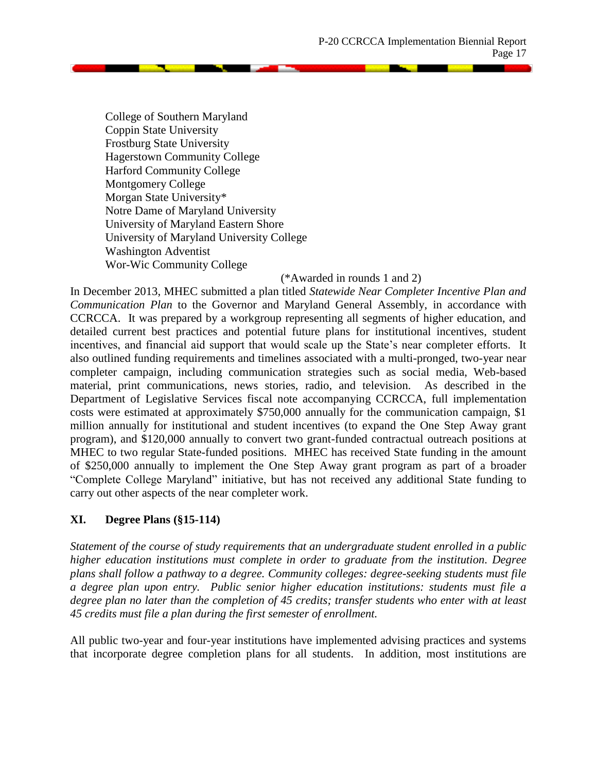**SECOND** 

College of Southern Maryland Coppin State University Frostburg State University Hagerstown Community College Harford Community College Montgomery College Morgan State University\* Notre Dame of Maryland University University of Maryland Eastern Shore University of Maryland University College Washington Adventist Wor-Wic Community College

#### (\*Awarded in rounds 1 and 2)

In December 2013, MHEC submitted a plan titled *Statewide Near Completer Incentive Plan and Communication Plan* to the Governor and Maryland General Assembly, in accordance with CCRCCA. It was prepared by a workgroup representing all segments of higher education, and detailed current best practices and potential future plans for institutional incentives, student incentives, and financial aid support that would scale up the State's near completer efforts. It also outlined funding requirements and timelines associated with a multi-pronged, two-year near completer campaign, including communication strategies such as social media, Web-based material, print communications, news stories, radio, and television. As described in the Department of Legislative Services fiscal note accompanying CCRCCA, full implementation costs were estimated at approximately \$750,000 annually for the communication campaign, \$1 million annually for institutional and student incentives (to expand the One Step Away grant program), and \$120,000 annually to convert two grant-funded contractual outreach positions at MHEC to two regular State-funded positions. MHEC has received State funding in the amount of \$250,000 annually to implement the One Step Away grant program as part of a broader "Complete College Maryland" initiative, but has not received any additional State funding to carry out other aspects of the near completer work.

## **XI. Degree Plans (§15-114)**

*Statement of the course of study requirements that an undergraduate student enrolled in a public higher education institutions must complete in order to graduate from the institution. Degree plans shall follow a pathway to a degree. Community colleges: degree-seeking students must file a degree plan upon entry. Public senior higher education institutions: students must file a degree plan no later than the completion of 45 credits; transfer students who enter with at least 45 credits must file a plan during the first semester of enrollment.*

All public two-year and four-year institutions have implemented advising practices and systems that incorporate degree completion plans for all students. In addition, most institutions are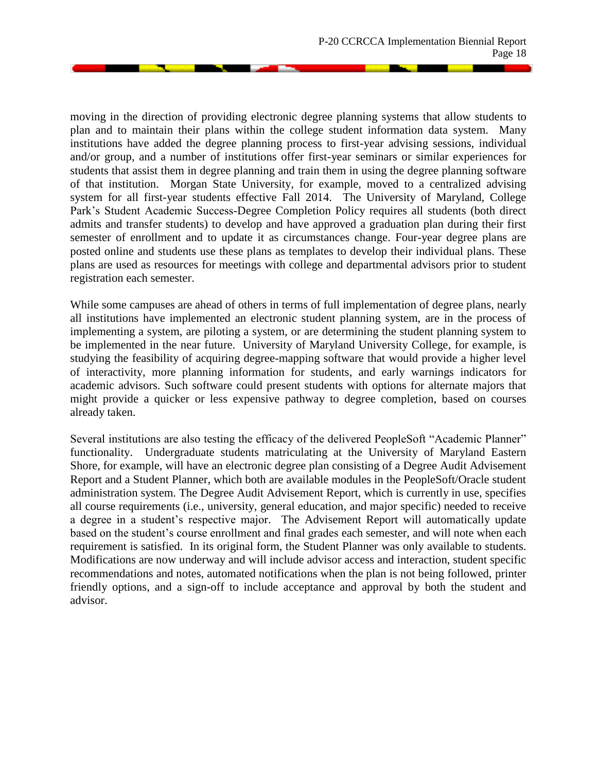moving in the direction of providing electronic degree planning systems that allow students to plan and to maintain their plans within the college student information data system. Many institutions have added the degree planning process to first-year advising sessions, individual and/or group, and a number of institutions offer first-year seminars or similar experiences for students that assist them in degree planning and train them in using the degree planning software of that institution. Morgan State University, for example, moved to a centralized advising system for all first-year students effective Fall 2014. The University of Maryland, College Park's Student Academic Success-Degree Completion Policy requires all students (both direct admits and transfer students) to develop and have approved a graduation plan during their first semester of enrollment and to update it as circumstances change. Four-year degree plans are posted online and students use these plans as templates to develop their individual plans. These plans are used as resources for meetings with college and departmental advisors prior to student registration each semester.

While some campuses are ahead of others in terms of full implementation of degree plans, nearly all institutions have implemented an electronic student planning system, are in the process of implementing a system, are piloting a system, or are determining the student planning system to be implemented in the near future. University of Maryland University College, for example, is studying the feasibility of acquiring degree-mapping software that would provide a higher level of interactivity, more planning information for students, and early warnings indicators for academic advisors. Such software could present students with options for alternate majors that might provide a quicker or less expensive pathway to degree completion, based on courses already taken.

Several institutions are also testing the efficacy of the delivered PeopleSoft "Academic Planner" functionality. Undergraduate students matriculating at the University of Maryland Eastern Shore, for example, will have an electronic degree plan consisting of a Degree Audit Advisement Report and a Student Planner, which both are available modules in the PeopleSoft/Oracle student administration system. The Degree Audit Advisement Report, which is currently in use, specifies all course requirements (i.e., university, general education, and major specific) needed to receive a degree in a student's respective major. The Advisement Report will automatically update based on the student's course enrollment and final grades each semester, and will note when each requirement is satisfied. In its original form, the Student Planner was only available to students. Modifications are now underway and will include advisor access and interaction, student specific recommendations and notes, automated notifications when the plan is not being followed, printer friendly options, and a sign-off to include acceptance and approval by both the student and advisor.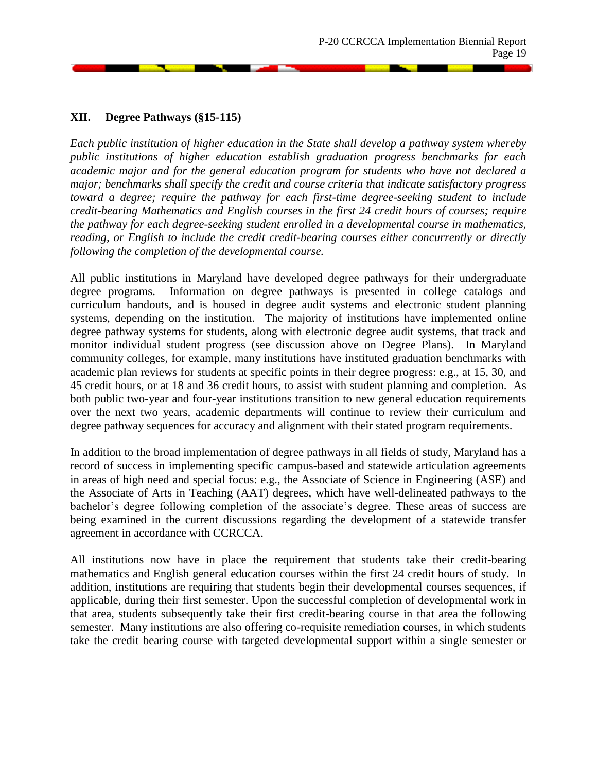## **XII. Degree Pathways (§15-115)**

*Each public institution of higher education in the State shall develop a pathway system whereby public institutions of higher education establish graduation progress benchmarks for each academic major and for the general education program for students who have not declared a major; benchmarks shall specify the credit and course criteria that indicate satisfactory progress toward a degree; require the pathway for each first-time degree-seeking student to include credit-bearing Mathematics and English courses in the first 24 credit hours of courses; require the pathway for each degree-seeking student enrolled in a developmental course in mathematics, reading, or English to include the credit credit-bearing courses either concurrently or directly following the completion of the developmental course.*

All public institutions in Maryland have developed degree pathways for their undergraduate degree programs. Information on degree pathways is presented in college catalogs and curriculum handouts, and is housed in degree audit systems and electronic student planning systems, depending on the institution. The majority of institutions have implemented online degree pathway systems for students, along with electronic degree audit systems, that track and monitor individual student progress (see discussion above on Degree Plans). In Maryland community colleges, for example, many institutions have instituted graduation benchmarks with academic plan reviews for students at specific points in their degree progress: e.g., at 15, 30, and 45 credit hours, or at 18 and 36 credit hours, to assist with student planning and completion. As both public two-year and four-year institutions transition to new general education requirements over the next two years, academic departments will continue to review their curriculum and degree pathway sequences for accuracy and alignment with their stated program requirements.

In addition to the broad implementation of degree pathways in all fields of study, Maryland has a record of success in implementing specific campus-based and statewide articulation agreements in areas of high need and special focus: e.g., the Associate of Science in Engineering (ASE) and the Associate of Arts in Teaching (AAT) degrees, which have well-delineated pathways to the bachelor's degree following completion of the associate's degree. These areas of success are being examined in the current discussions regarding the development of a statewide transfer agreement in accordance with CCRCCA.

All institutions now have in place the requirement that students take their credit-bearing mathematics and English general education courses within the first 24 credit hours of study. In addition, institutions are requiring that students begin their developmental courses sequences, if applicable, during their first semester. Upon the successful completion of developmental work in that area, students subsequently take their first credit-bearing course in that area the following semester. Many institutions are also offering co-requisite remediation courses, in which students take the credit bearing course with targeted developmental support within a single semester or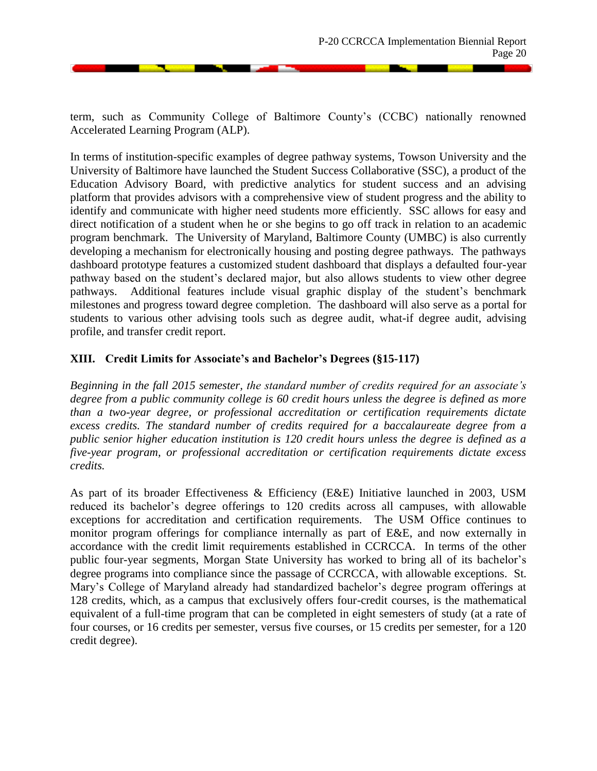**STATISTICS** 

term, such as Community College of Baltimore County's (CCBC) nationally renowned Accelerated Learning Program (ALP).

In terms of institution-specific examples of degree pathway systems, Towson University and the University of Baltimore have launched the Student Success Collaborative (SSC), a product of the Education Advisory Board, with predictive analytics for student success and an advising platform that provides advisors with a comprehensive view of student progress and the ability to identify and communicate with higher need students more efficiently. SSC allows for easy and direct notification of a student when he or she begins to go off track in relation to an academic program benchmark. The University of Maryland, Baltimore County (UMBC) is also currently developing a mechanism for electronically housing and posting degree pathways. The pathways dashboard prototype features a customized student dashboard that displays a defaulted four-year pathway based on the student's declared major, but also allows students to view other degree pathways. Additional features include visual graphic display of the student's benchmark milestones and progress toward degree completion. The dashboard will also serve as a portal for students to various other advising tools such as degree audit, what-if degree audit, advising profile, and transfer credit report.

## **XIII. Credit Limits for Associate's and Bachelor's Degrees (§15-117)**

*Beginning in the fall 2015 semester, the standard number of credits required for an associate's degree from a public community college is 60 credit hours unless the degree is defined as more than a two-year degree, or professional accreditation or certification requirements dictate excess credits. The standard number of credits required for a baccalaureate degree from a public senior higher education institution is 120 credit hours unless the degree is defined as a five-year program, or professional accreditation or certification requirements dictate excess credits.*

As part of its broader Effectiveness & Efficiency (E&E) Initiative launched in 2003, USM reduced its bachelor's degree offerings to 120 credits across all campuses, with allowable exceptions for accreditation and certification requirements. The USM Office continues to monitor program offerings for compliance internally as part of E&E, and now externally in accordance with the credit limit requirements established in CCRCCA. In terms of the other public four-year segments, Morgan State University has worked to bring all of its bachelor's degree programs into compliance since the passage of CCRCCA, with allowable exceptions. St. Mary's College of Maryland already had standardized bachelor's degree program offerings at 128 credits, which, as a campus that exclusively offers four-credit courses, is the mathematical equivalent of a full-time program that can be completed in eight semesters of study (at a rate of four courses, or 16 credits per semester, versus five courses, or 15 credits per semester, for a 120 credit degree).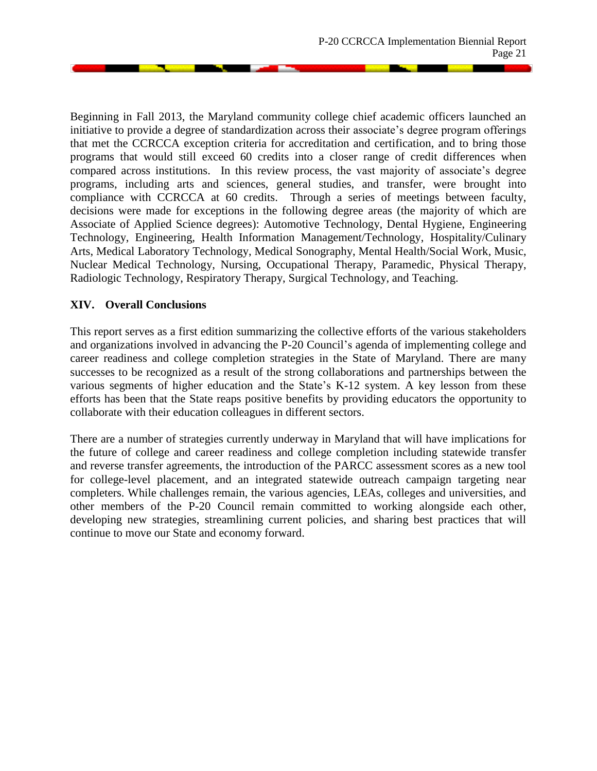**Service State** 

Beginning in Fall 2013, the Maryland community college chief academic officers launched an initiative to provide a degree of standardization across their associate's degree program offerings that met the CCRCCA exception criteria for accreditation and certification, and to bring those programs that would still exceed 60 credits into a closer range of credit differences when compared across institutions. In this review process, the vast majority of associate's degree programs, including arts and sciences, general studies, and transfer, were brought into compliance with CCRCCA at 60 credits. Through a series of meetings between faculty, decisions were made for exceptions in the following degree areas (the majority of which are Associate of Applied Science degrees): Automotive Technology, Dental Hygiene, Engineering Technology, Engineering, Health Information Management/Technology, Hospitality/Culinary Arts, Medical Laboratory Technology, Medical Sonography, Mental Health/Social Work, Music, Nuclear Medical Technology, Nursing, Occupational Therapy, Paramedic, Physical Therapy, Radiologic Technology, Respiratory Therapy, Surgical Technology, and Teaching.

## **XIV. Overall Conclusions**

This report serves as a first edition summarizing the collective efforts of the various stakeholders and organizations involved in advancing the P-20 Council's agenda of implementing college and career readiness and college completion strategies in the State of Maryland. There are many successes to be recognized as a result of the strong collaborations and partnerships between the various segments of higher education and the State's K-12 system. A key lesson from these efforts has been that the State reaps positive benefits by providing educators the opportunity to collaborate with their education colleagues in different sectors.

There are a number of strategies currently underway in Maryland that will have implications for the future of college and career readiness and college completion including statewide transfer and reverse transfer agreements, the introduction of the PARCC assessment scores as a new tool for college-level placement, and an integrated statewide outreach campaign targeting near completers. While challenges remain, the various agencies, LEAs, colleges and universities, and other members of the P-20 Council remain committed to working alongside each other, developing new strategies, streamlining current policies, and sharing best practices that will continue to move our State and economy forward.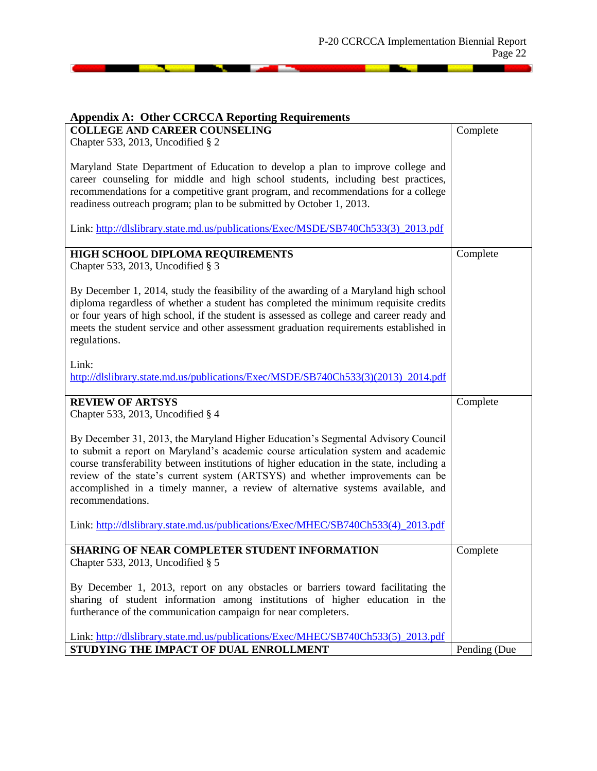# **Appendix A: Other CCRCCA Reporting Requirements COLLEGE AND CAREER COUNSELING**  Chapter 533, 2013, Uncodified § 2 Maryland State Department of Education to develop a plan to improve college and career counseling for middle and high school students, including best practices, recommendations for a competitive grant program, and recommendations for a college readiness outreach program; plan to be submitted by October 1, 2013. Link: [http://dlslibrary.state.md.us/publications/Exec/MSDE/SB740Ch533\(3\)\\_2013.pdf](http://dlslibrary.state.md.us/publications/Exec/MSDE/SB740Ch533(3)_2013.pdf) Complete **HIGH SCHOOL DIPLOMA REQUIREMENTS**  Chapter 533, 2013, Uncodified § 3 By December 1, 2014, study the feasibility of the awarding of a Maryland high school diploma regardless of whether a student has completed the minimum requisite credits or four years of high school, if the student is assessed as college and career ready and meets the student service and other assessment graduation requirements established in regulations. Link: http://dlslibrary.state.md.us/publications/Exec/MSDE/SB740Ch533(3)(2013) 2014.pdf Complete **REVIEW OF ARTSYS**  Chapter 533, 2013, Uncodified § 4 By December 31, 2013, the Maryland Higher Education's Segmental Advisory Council to submit a report on Maryland's academic course articulation system and academic course transferability between institutions of higher education in the state, including a review of the state's current system (ARTSYS) and whether improvements can be accomplished in a timely manner, a review of alternative systems available, and recommendations. Link: [http://dlslibrary.state.md.us/publications/Exec/MHEC/SB740Ch533\(4\)\\_2013.pdf](http://dlslibrary.state.md.us/publications/Exec/MHEC/SB740Ch533(4)_2013.pdf) **Complete SHARING OF NEAR COMPLETER STUDENT INFORMATION**  Chapter 533, 2013, Uncodified § 5 By December 1, 2013, report on any obstacles or barriers toward facilitating the sharing of student information among institutions of higher education in the furtherance of the communication campaign for near completers. Complete

Link: [http://dlslibrary.state.md.us/publications/Exec/MHEC/SB740Ch533\(5\)\\_2013.pdf](http://dlslibrary.state.md.us/publications/Exec/MHEC/SB740Ch533(5)_2013.pdf) **STUDYING THE IMPACT OF DUAL ENROLLMENT**  Pending (Due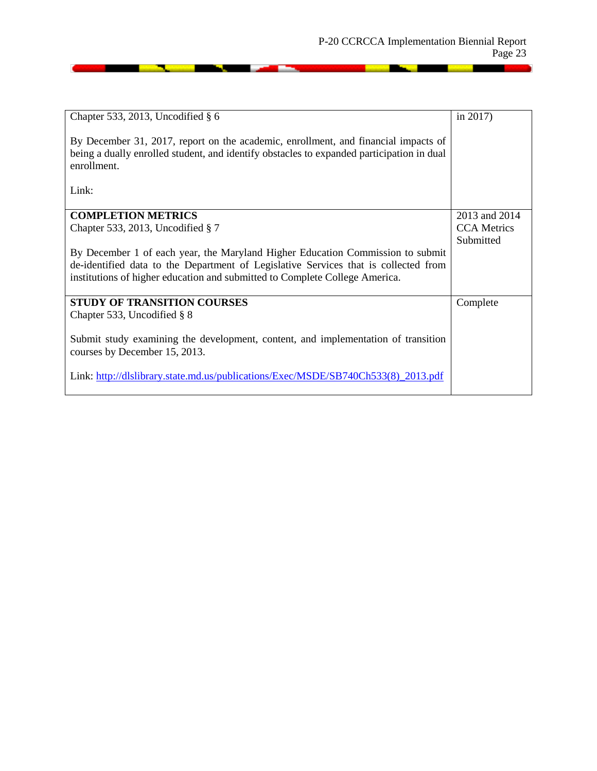and the state of the state of the state of the state of the state of the state of the state of the state of the

| Chapter 533, 2013, Uncodified $\S$ 6<br>By December 31, 2017, report on the academic, enrollment, and financial impacts of<br>being a dually enrolled student, and identify obstacles to expanded participation in dual<br>enrollment. | in $2017$ )        |
|----------------------------------------------------------------------------------------------------------------------------------------------------------------------------------------------------------------------------------------|--------------------|
| Link:                                                                                                                                                                                                                                  |                    |
| <b>COMPLETION METRICS</b>                                                                                                                                                                                                              | 2013 and 2014      |
| Chapter 533, 2013, Uncodified $\S 7$                                                                                                                                                                                                   | <b>CCA</b> Metrics |
|                                                                                                                                                                                                                                        | Submitted          |
| By December 1 of each year, the Maryland Higher Education Commission to submit                                                                                                                                                         |                    |
| de-identified data to the Department of Legislative Services that is collected from                                                                                                                                                    |                    |
| institutions of higher education and submitted to Complete College America.                                                                                                                                                            |                    |
| <b>STUDY OF TRANSITION COURSES</b>                                                                                                                                                                                                     | Complete           |
| Chapter 533, Uncodified $\S$ 8                                                                                                                                                                                                         |                    |
| Submit study examining the development, content, and implementation of transition<br>courses by December 15, 2013.                                                                                                                     |                    |
| Link: http://dlslibrary.state.md.us/publications/Exec/MSDE/SB740Ch533(8)_2013.pdf                                                                                                                                                      |                    |

<u> 1999 - John Barnett, mars et al. (</u>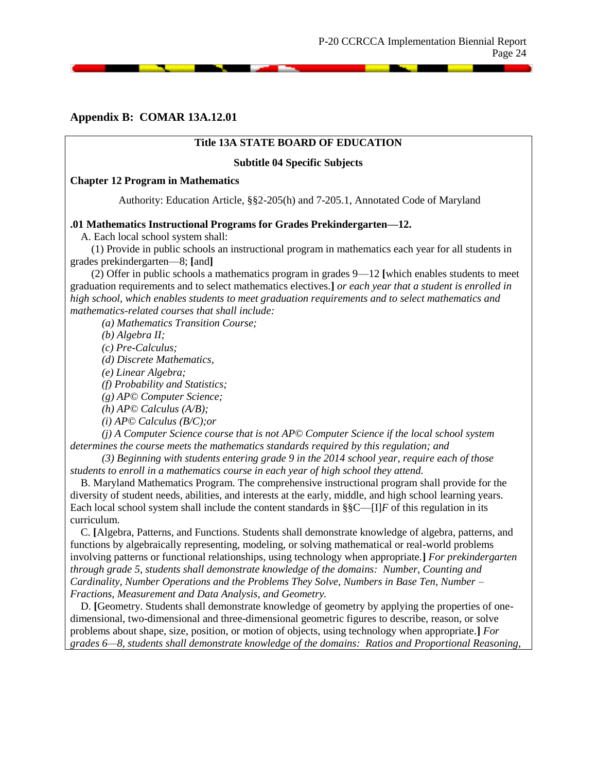#### **Appendix B: COMAR 13A.12.01**

#### **Title 13A STATE BOARD OF EDUCATION**

#### **Subtitle 04 Specific Subjects**

#### **Chapter 12 Program in Mathematics**

Authority: Education Article, §§2-205(h) and 7-205.1, Annotated Code of Maryland

#### **.01 Mathematics Instructional Programs for Grades Prekindergarten—12.**

A. Each local school system shall:

(1) Provide in public schools an instructional program in mathematics each year for all students in grades prekindergarten—8; **[**and**]**

(2) Offer in public schools a mathematics program in grades 9—12 **[**which enables students to meet graduation requirements and to select mathematics electives.**]** *or each year that a student is enrolled in high school, which enables students to meet graduation requirements and to select mathematics and mathematics-related courses that shall include:*

*(a) Mathematics Transition Course;*

*(b) Algebra II;*

*(c) Pre-Calculus;*

*(d) Discrete Mathematics,* 

*(e) Linear Algebra;*

*(f) Probability and Statistics;*

*(g) AP© Computer Science;*

*(h) AP© Calculus (A/B);*

*(i) AP© Calculus (B/C);or* 

*(j) A Computer Science course that is not AP© Computer Science if the local school system determines the course meets the mathematics standards required by this regulation; and*

*(3) Beginning with students entering grade 9 in the 2014 school year, require each of those students to enroll in a mathematics course in each year of high school they attend.*

B. Maryland Mathematics Program. The comprehensive instructional program shall provide for the diversity of student needs, abilities, and interests at the early, middle, and high school learning years. Each local school system shall include the content standards in  $\S \ -[I]F$  of this regulation in its curriculum.

C. **[**Algebra, Patterns, and Functions. Students shall demonstrate knowledge of algebra, patterns, and functions by algebraically representing, modeling, or solving mathematical or real-world problems involving patterns or functional relationships, using technology when appropriate.**]** *For prekindergarten through grade 5, students shall demonstrate knowledge of the domains: Number, Counting and Cardinality, Number Operations and the Problems They Solve, Numbers in Base Ten, Number – Fractions, Measurement and Data Analysis, and Geometry.*

D. **[**Geometry. Students shall demonstrate knowledge of geometry by applying the properties of onedimensional, two-dimensional and three-dimensional geometric figures to describe, reason, or solve problems about shape, size, position, or motion of objects, using technology when appropriate.**]** *For grades 6—8, students shall demonstrate knowledge of the domains: Ratios and Proportional Reasoning,*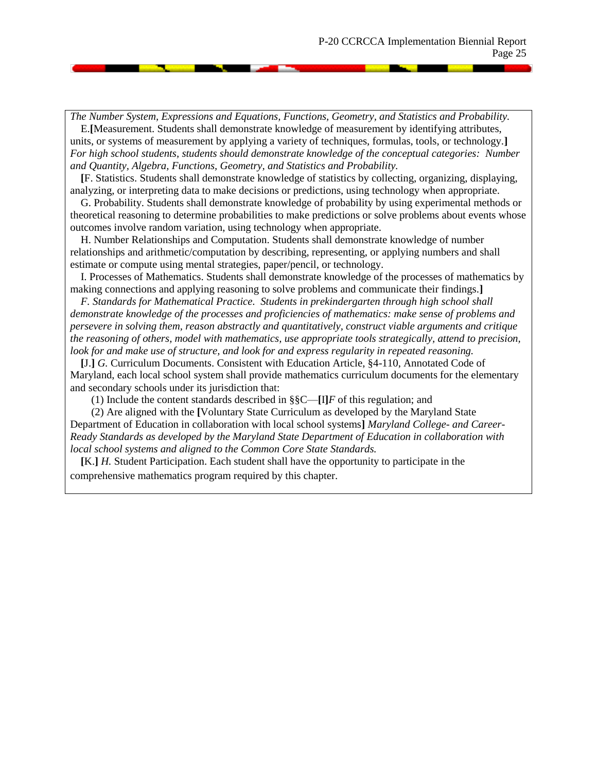*The Number System, Expressions and Equations, Functions, Geometry, and Statistics and Probability.* E.**[**Measurement. Students shall demonstrate knowledge of measurement by identifying attributes, units, or systems of measurement by applying a variety of techniques, formulas, tools, or technology.**]** *For high school students, students should demonstrate knowledge of the conceptual categories: Number and Quantity, Algebra, Functions, Geometry, and Statistics and Probability.*

**[**F. Statistics. Students shall demonstrate knowledge of statistics by collecting, organizing, displaying, analyzing, or interpreting data to make decisions or predictions, using technology when appropriate.

G. Probability. Students shall demonstrate knowledge of probability by using experimental methods or theoretical reasoning to determine probabilities to make predictions or solve problems about events whose outcomes involve random variation, using technology when appropriate.

H. Number Relationships and Computation. Students shall demonstrate knowledge of number relationships and arithmetic/computation by describing, representing, or applying numbers and shall estimate or compute using mental strategies, paper/pencil, or technology.

I. Processes of Mathematics. Students shall demonstrate knowledge of the processes of mathematics by making connections and applying reasoning to solve problems and communicate their findings.**]**

*F. Standards for Mathematical Practice. Students in prekindergarten through high school shall demonstrate knowledge of the processes and proficiencies of mathematics: make sense of problems and persevere in solving them, reason abstractly and quantitatively, construct viable arguments and critique the reasoning of others, model with mathematics, use appropriate tools strategically, attend to precision, look for and make use of structure, and look for and express regularity in repeated reasoning.*

**[**J.**]** *G.* Curriculum Documents. Consistent with Education Article, §4-110, Annotated Code of Maryland, each local school system shall provide mathematics curriculum documents for the elementary and secondary schools under its jurisdiction that:

(1) Include the content standards described in §§C—**[**I**]***F* of this regulation; and

(2) Are aligned with the **[**Voluntary State Curriculum as developed by the Maryland State Department of Education in collaboration with local school systems**]** *Maryland College- and Career-Ready Standards as developed by the Maryland State Department of Education in collaboration with local school systems and aligned to the Common Core State Standards.*

**[**K.**]** *H.* Student Participation. Each student shall have the opportunity to participate in the comprehensive mathematics program required by this chapter.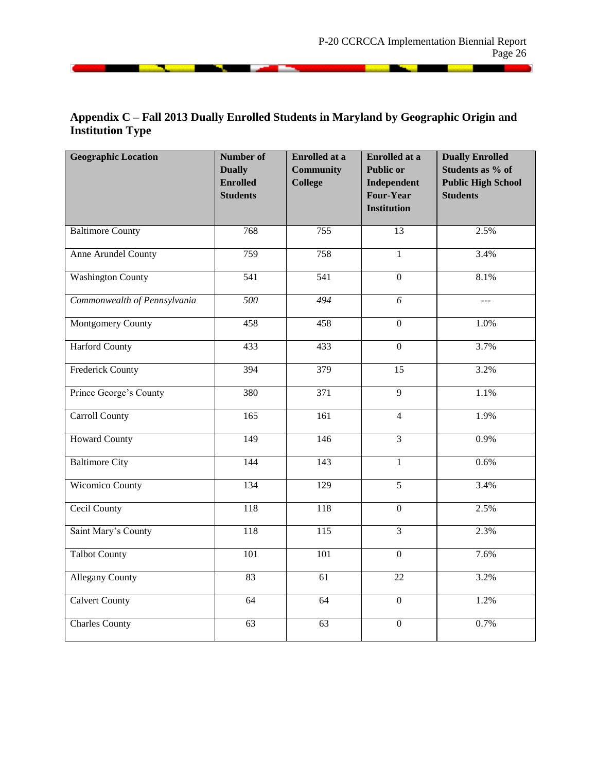**Service** and the service of the service of the service of the service of the service of the service of the service of the service of the service of the service of the service of the service of the service of the service o

# **Appendix C – Fall 2013 Dually Enrolled Students in Maryland by Geographic Origin and Institution Type**

<u> 1988 - John Barnson, Amerikaans (</u>

| <b>Geographic Location</b>   | <b>Number of</b><br><b>Dually</b><br><b>Enrolled</b><br><b>Students</b> | <b>Enrolled at a</b><br><b>Community</b><br><b>College</b> | <b>Enrolled at a</b><br><b>Public or</b><br>Independent<br><b>Four-Year</b><br><b>Institution</b> | <b>Dually Enrolled</b><br>Students as % of<br><b>Public High School</b><br><b>Students</b> |
|------------------------------|-------------------------------------------------------------------------|------------------------------------------------------------|---------------------------------------------------------------------------------------------------|--------------------------------------------------------------------------------------------|
| <b>Baltimore County</b>      | 768                                                                     | 755                                                        | $\overline{13}$                                                                                   | 2.5%                                                                                       |
| Anne Arundel County          | 759                                                                     | 758                                                        | $\mathbf{1}$                                                                                      | 3.4%                                                                                       |
| <b>Washington County</b>     | 541                                                                     | 541                                                        | $\overline{0}$                                                                                    | 8.1%                                                                                       |
| Commonwealth of Pennsylvania | 500                                                                     | 494                                                        | $\overline{6}$                                                                                    | $- - -$                                                                                    |
| <b>Montgomery County</b>     | 458                                                                     | 458                                                        | $\overline{0}$                                                                                    | 1.0%                                                                                       |
| <b>Harford County</b>        | 433                                                                     | 433                                                        | $\overline{0}$                                                                                    | $\overline{3.7\%}$                                                                         |
| <b>Frederick County</b>      | 394                                                                     | 379                                                        | $\overline{15}$                                                                                   | 3.2%                                                                                       |
| Prince George's County       | 380                                                                     | 371                                                        | $\overline{9}$                                                                                    | 1.1%                                                                                       |
| Carroll County               | 165                                                                     | 161                                                        | $\overline{4}$                                                                                    | 1.9%                                                                                       |
| <b>Howard County</b>         | 149                                                                     | $\frac{146}{2}$                                            | $\overline{3}$                                                                                    | 0.9%                                                                                       |
| <b>Baltimore City</b>        | 144                                                                     | $\overline{143}$                                           | $\mathbf{1}$                                                                                      | 0.6%                                                                                       |
| <b>Wicomico County</b>       | 134                                                                     | 129                                                        | $\overline{5}$                                                                                    | 3.4%                                                                                       |
| Cecil County                 | 118                                                                     | 118                                                        | $\overline{0}$                                                                                    | 2.5%                                                                                       |
| Saint Mary's County          | $\overline{118}$                                                        | $\overline{115}$                                           | $\overline{3}$                                                                                    | 2.3%                                                                                       |
| <b>Talbot County</b>         | 101                                                                     | 101                                                        | $\overline{0}$                                                                                    | 7.6%                                                                                       |
| <b>Allegany County</b>       | 83                                                                      | $\overline{61}$                                            | 22                                                                                                | 3.2%                                                                                       |
| <b>Calvert County</b>        | 64                                                                      | 64                                                         | $\overline{0}$                                                                                    | 1.2%                                                                                       |
| <b>Charles County</b>        | 63                                                                      | 63                                                         | $\boldsymbol{0}$                                                                                  | 0.7%                                                                                       |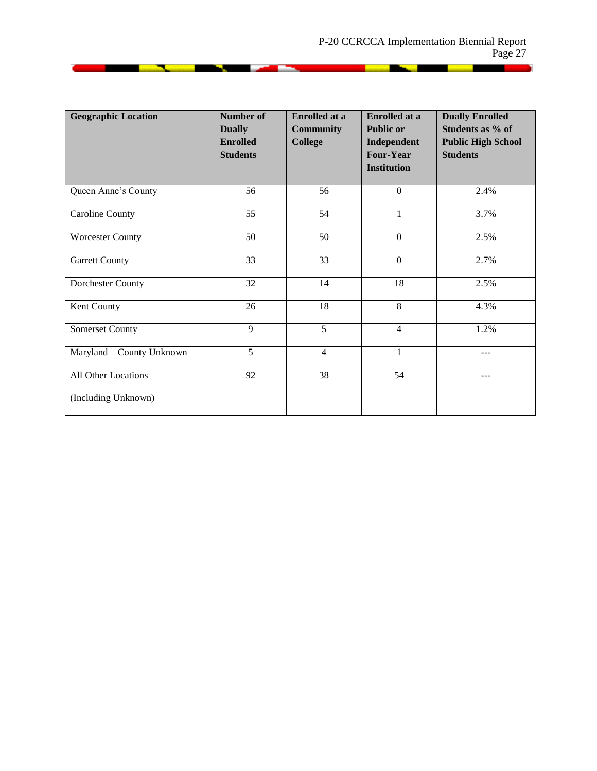and the second second second second second second second second second second second second second second second second second second second second second second second second second second second second second second seco

| <b>Geographic Location</b>                 | <b>Number of</b><br><b>Dually</b><br><b>Enrolled</b><br><b>Students</b> | <b>Enrolled</b> at a<br><b>Community</b><br><b>College</b> | <b>Enrolled</b> at a<br><b>Public or</b><br>Independent<br><b>Four-Year</b><br><b>Institution</b> | <b>Dually Enrolled</b><br>Students as % of<br><b>Public High School</b><br><b>Students</b> |
|--------------------------------------------|-------------------------------------------------------------------------|------------------------------------------------------------|---------------------------------------------------------------------------------------------------|--------------------------------------------------------------------------------------------|
| Queen Anne's County                        | 56                                                                      | 56                                                         | $\boldsymbol{0}$                                                                                  | 2.4%                                                                                       |
| Caroline County                            | 55                                                                      | 54                                                         | 1                                                                                                 | 3.7%                                                                                       |
| <b>Worcester County</b>                    | 50                                                                      | 50                                                         | $\boldsymbol{0}$                                                                                  | 2.5%                                                                                       |
| <b>Garrett County</b>                      | 33                                                                      | 33                                                         | $\mathbf{0}$                                                                                      | 2.7%                                                                                       |
| Dorchester County                          | 32                                                                      | 14                                                         | 18                                                                                                | 2.5%                                                                                       |
| Kent County                                | 26                                                                      | 18                                                         | 8                                                                                                 | 4.3%                                                                                       |
| Somerset County                            | 9                                                                       | 5                                                          | $\overline{4}$                                                                                    | 1.2%                                                                                       |
| Maryland - County Unknown                  | 5                                                                       | $\overline{4}$                                             | 1                                                                                                 | ---                                                                                        |
| All Other Locations<br>(Including Unknown) | 92                                                                      | 38                                                         | 54                                                                                                |                                                                                            |

<u> 1988 - John Barnson, Amerikaans (</u>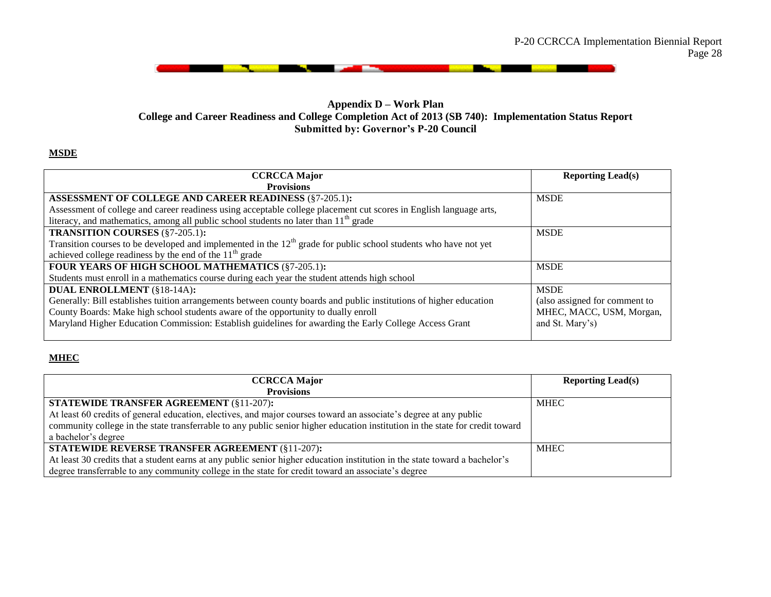

ш

#### **Appendix D – Work Plan College and Career Readiness and College Completion Act of 2013 (SB 740): Implementation Status Report Submitted by: Governor's P-20 Council**

#### **MSDE**

| <b>CCRCCA Major</b>                                                                                                | <b>Reporting Lead(s)</b>      |
|--------------------------------------------------------------------------------------------------------------------|-------------------------------|
| <b>Provisions</b>                                                                                                  |                               |
| ASSESSMENT OF COLLEGE AND CAREER READINESS (§7-205.1):                                                             | <b>MSDE</b>                   |
| Assessment of college and career readiness using acceptable college placement cut scores in English language arts, |                               |
| literacy, and mathematics, among all public school students no later than $11th$ grade                             |                               |
| <b>TRANSITION COURSES (§7-205.1):</b>                                                                              | <b>MSDE</b>                   |
| Transition courses to be developed and implemented in the $12th$ grade for public school students who have not yet |                               |
| achieved college readiness by the end of the $11th$ grade                                                          |                               |
| FOUR YEARS OF HIGH SCHOOL MATHEMATICS (§7-205.1):                                                                  | <b>MSDE</b>                   |
| Students must enroll in a mathematics course during each year the student attends high school                      |                               |
| <b>DUAL ENROLLMENT (§18-14A):</b>                                                                                  | <b>MSDE</b>                   |
| Generally: Bill establishes tuition arrangements between county boards and public institutions of higher education | (also assigned for comment to |
| County Boards: Make high school students aware of the opportunity to dually enroll                                 | MHEC, MACC, USM, Morgan,      |
| Maryland Higher Education Commission: Establish guidelines for awarding the Early College Access Grant             | and St. Mary's)               |
|                                                                                                                    |                               |

#### **MHEC**

| <b>CCRCCA Major</b>                                                                                                           | <b>Reporting Lead(s)</b> |
|-------------------------------------------------------------------------------------------------------------------------------|--------------------------|
| <b>Provisions</b>                                                                                                             |                          |
| <b>STATEWIDE TRANSFER AGREEMENT (§11-207):</b>                                                                                | <b>MHEC</b>              |
| At least 60 credits of general education, electives, and major courses toward an associate's degree at any public             |                          |
| community college in the state transferrable to any public senior higher education institution in the state for credit toward |                          |
| a bachelor's degree                                                                                                           |                          |
| <b>STATEWIDE REVERSE TRANSFER AGREEMENT (§11-207):</b>                                                                        | <b>MHEC</b>              |
| At least 30 credits that a student earns at any public senior higher education institution in the state toward a bachelor's   |                          |
| degree transferrable to any community college in the state for credit toward an associate's degree                            |                          |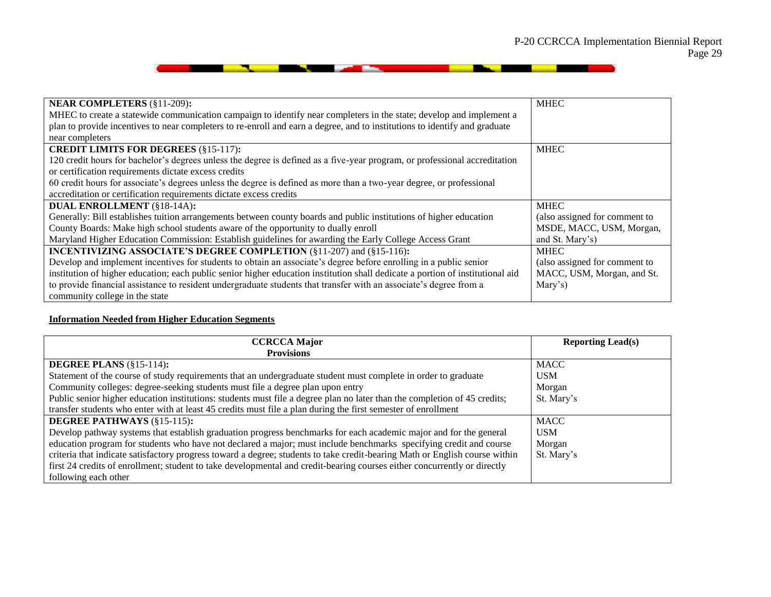**Contract Contract Contract Contract Contract Contract Contract Contract Contract Contract Contract Contract Contract Contract Contract Contract Contract Contract Contract Contract Contract Contract Contract Contract Contr** 

| <b>NEAR COMPLETERS (§11-209):</b>                                                                                              | <b>MHEC</b>                   |
|--------------------------------------------------------------------------------------------------------------------------------|-------------------------------|
| MHEC to create a statewide communication campaign to identify near completers in the state; develop and implement a            |                               |
| plan to provide incentives to near completers to re-enroll and earn a degree, and to institutions to identify and graduate     |                               |
| near completers                                                                                                                |                               |
| <b>CREDIT LIMITS FOR DEGREES (§15-117):</b>                                                                                    | <b>MHEC</b>                   |
| 120 credit hours for bachelor's degrees unless the degree is defined as a five-year program, or professional accreditation     |                               |
| or certification requirements dictate excess credits                                                                           |                               |
| 60 credit hours for associate's degrees unless the degree is defined as more than a two-year degree, or professional           |                               |
| accreditation or certification requirements dictate excess credits                                                             |                               |
| <b>DUAL ENROLLMENT (§18-14A):</b>                                                                                              | <b>MHEC</b>                   |
| Generally: Bill establishes tuition arrangements between county boards and public institutions of higher education             | (also assigned for comment to |
| County Boards: Make high school students aware of the opportunity to dually enroll                                             | MSDE, MACC, USM, Morgan,      |
| Maryland Higher Education Commission: Establish guidelines for awarding the Early College Access Grant                         | and St. Mary's)               |
| <b>INCENTIVIZING ASSOCIATE'S DEGREE COMPLETION (§11-207) and (§15-116):</b>                                                    | <b>MHEC</b>                   |
| Develop and implement incentives for students to obtain an associate's degree before enrolling in a public senior              | (also assigned for comment to |
| institution of higher education; each public senior higher education institution shall dedicate a portion of institutional aid | MACC, USM, Morgan, and St.    |
| to provide financial assistance to resident undergraduate students that transfer with an associate's degree from a             | Mary's)                       |
| community college in the state                                                                                                 |                               |

<u> 1990 - Angele Barbara, mangang mga kalendari ng mga kalendari ng mga kalendari ng mga kalendari ng mga kalendari ng mga kalendari ng mga kalendari ng mga kalendari ng mga kalendari ng mga kalendari ng mga kalendari ng mg</u>

#### **Information Needed from Higher Education Segments**

| <b>CCRCCA Major</b>                                                                                                         | <b>Reporting Lead(s)</b> |
|-----------------------------------------------------------------------------------------------------------------------------|--------------------------|
| <b>Provisions</b>                                                                                                           |                          |
| DEGREE PLANS $(\S 15-114)$ :                                                                                                | <b>MACC</b>              |
| Statement of the course of study requirements that an undergraduate student must complete in order to graduate              | <b>USM</b>               |
| Community colleges: degree-seeking students must file a degree plan upon entry                                              | Morgan                   |
| Public senior higher education institutions: students must file a degree plan no later than the completion of 45 credits;   | St. Mary's               |
| transfer students who enter with at least 45 credits must file a plan during the first semester of enrollment               |                          |
| <b>DEGREE PATHWAYS (§15-115):</b>                                                                                           | <b>MACC</b>              |
| Develop pathway systems that establish graduation progress benchmarks for each academic major and for the general           | <b>USM</b>               |
| education program for students who have not declared a major; must include benchmarks specifying credit and course          | Morgan                   |
| criteria that indicate satisfactory progress toward a degree; students to take credit-bearing Math or English course within | St. Mary's               |
| first 24 credits of enrollment; student to take developmental and credit-bearing courses either concurrently or directly    |                          |
| following each other                                                                                                        |                          |